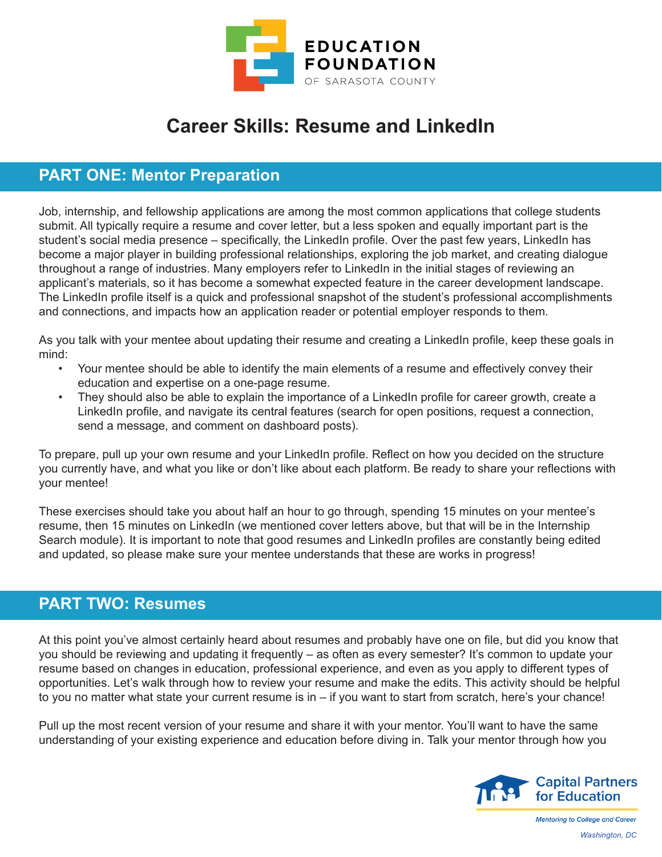

## **Career Skills: Resume and LinkedIn**

### **PART ONE: Mentor Preparation**

Job, internship, and fellowship applications are among the most common applications that college students submit. All typically require a resume and cover letter, but a less spoken and equally important part is the student's social media presence – specifically, the LinkedIn profile. Over the past few years, LinkedIn has become a major player in building professional relationships, exploring the job market, and creating dialogue throughout a range of industries. Many employers refer to LinkedIn in the initial stages of reviewing an applicant's materials, so it has become a somewhat expected feature in the career development landscape. The LinkedIn profile itself is a quick and professional snapshot of the student's professional accomplishments and connections, and impacts how an application reader or potential employer responds to them.

As you talk with your mentee about updating their resume and creating a LinkedIn profile, keep these goals in mind:

- Your mentee should be able to identify the main elements of a resume and effectively convey their education and expertise on a one-page resume.
- They should also be able to explain the importance of a LinkedIn profile for career growth, create a LinkedIn profile, and navigate its central features (search for open positions, request a connection, send a message, and comment on dashboard posts).

To prepare, pull up your own resume and your LinkedIn profile. Reflect on how you decided on the structure you currently have, and what you like or don't like about each platform. Be ready to share your reflections with your mentee!

These exercises should take you about half an hour to go through, spending 15 minutes on your mentee's resume, then 15 minutes on LinkedIn (we mentioned cover letters above, but that will be in the Internship Search module). It is important to note that good resumes and LinkedIn profiles are constantly being edited and updated, so please make sure your mentee understands that these are works in progress!

### **PART TWO: Resumes**

At this point you've almost certainly heard about resumes and probably have one on file, but did you know that you should be reviewing and updating it frequently – as often as every semester? It's common to update your resume based on changes in education, professional experience, and even as you apply to different types of opportunities. Let's walk through how to review your resume and make the edits. This activity should be helpful to you no matter what state your current resume is in – if you want to start from scratch, here's your chance!

Pull up the most recent version of your resume and share it with your mentor. You'll want to have the same understanding of your existing experience and education before diving in. Talk your mentor through how you

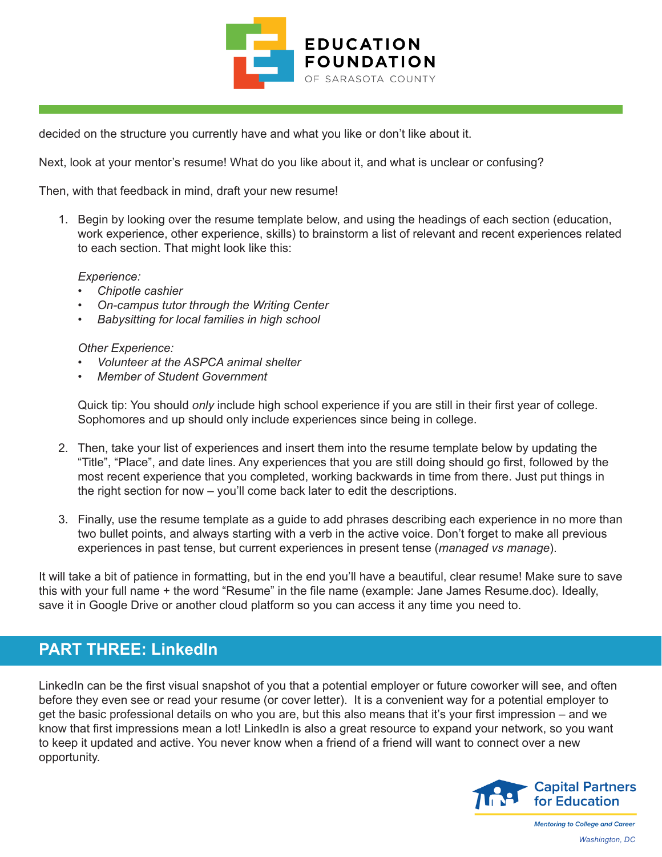

decided on the structure you currently have and what you like or don't like about it.

Next, look at your mentor's resume! What do you like about it, and what is unclear or confusing?

Then, with that feedback in mind, draft your new resume!

1. Begin by looking over the resume template below, and using the headings of each section (education, work experience, other experience, skills) to brainstorm a list of relevant and recent experiences related to each section. That might look like this:

*Experience:*

- *• Chipotle cashier*
- *• On-campus tutor through the Writing Center*
- *• Babysitting for local families in high school*

#### *Other Experience:*

- *• Volunteer at the ASPCA animal shelter*
- *• Member of Student Government*

Quick tip: You should *only* include high school experience if you are still in their first year of college. Sophomores and up should only include experiences since being in college.

- 2. Then, take your list of experiences and insert them into the resume template below by updating the "Title", "Place", and date lines. Any experiences that you are still doing should go first, followed by the most recent experience that you completed, working backwards in time from there. Just put things in the right section for now – you'll come back later to edit the descriptions.
- 3. Finally, use the resume template as a guide to add phrases describing each experience in no more than two bullet points, and always starting with a verb in the active voice. Don't forget to make all previous experiences in past tense, but current experiences in present tense (*managed vs manage*).

It will take a bit of patience in formatting, but in the end you'll have a beautiful, clear resume! Make sure to save this with your full name + the word "Resume" in the file name (example: Jane James Resume.doc). Ideally, save it in Google Drive or another cloud platform so you can access it any time you need to.

### **PART THREE: LinkedIn**

LinkedIn can be the first visual snapshot of you that a potential employer or future coworker will see, and often before they even see or read your resume (or cover letter). It is a convenient way for a potential employer to get the basic professional details on who you are, but this also means that it's your first impression – and we know that first impressions mean a lot! LinkedIn is also a great resource to expand your network, so you want to keep it updated and active. You never know when a friend of a friend will want to connect over a new opportunity.

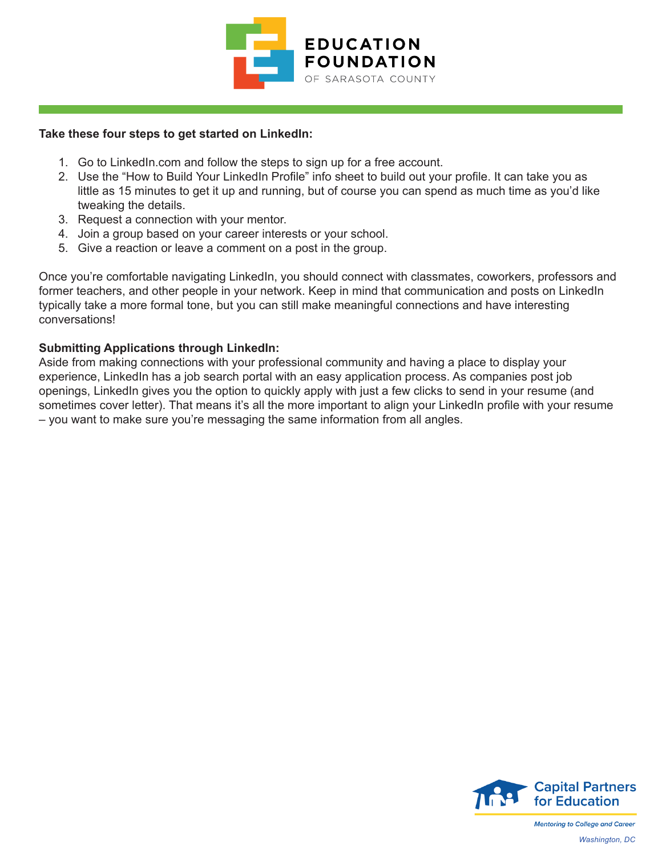

#### **Take these four steps to get started on LinkedIn:**

- 1. Go to LinkedIn.com and follow the steps to sign up for a free account.
- 2. Use the "How to Build Your LinkedIn Profile" info sheet to build out your profile. It can take you as little as 15 minutes to get it up and running, but of course you can spend as much time as you'd like tweaking the details.
- 3. Request a connection with your mentor.
- 4. Join a group based on your career interests or your school.
- 5. Give a reaction or leave a comment on a post in the group.

Once you're comfortable navigating LinkedIn, you should connect with classmates, coworkers, professors and former teachers, and other people in your network. Keep in mind that communication and posts on LinkedIn typically take a more formal tone, but you can still make meaningful connections and have interesting conversations!

### **Submitting Applications through LinkedIn:**

Aside from making connections with your professional community and having a place to display your experience, LinkedIn has a job search portal with an easy application process. As companies post job openings, LinkedIn gives you the option to quickly apply with just a few clicks to send in your resume (and sometimes cover letter). That means it's all the more important to align your LinkedIn profile with your resume – you want to make sure you're messaging the same information from all angles.

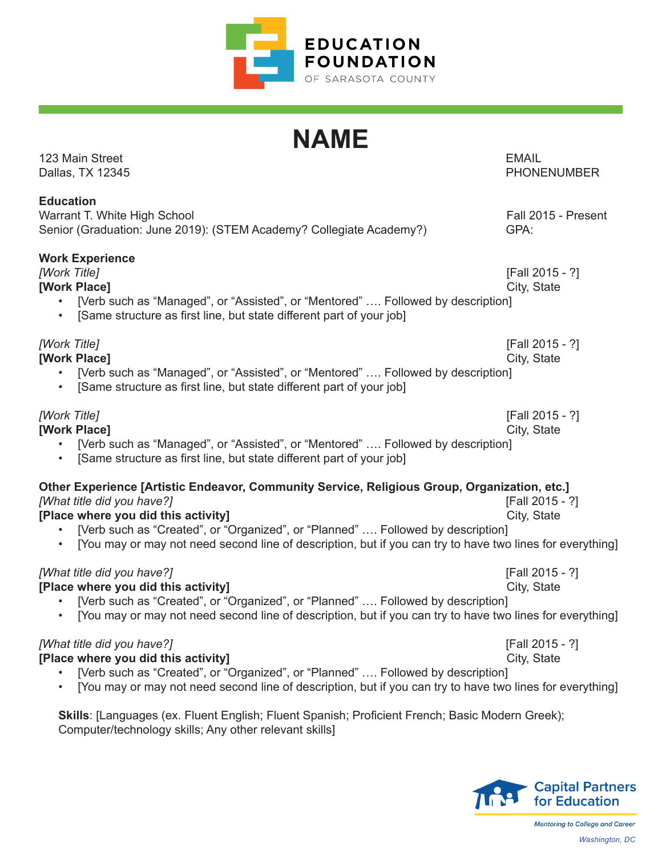

# **NAME**

123 Main Street **EMAIL** 

### **Education**

Warrant T. White High School **Fall 2015 - Present** Senior (Graduation: June 2019): (STEM Academy? Collegiate Academy?) GPA:

### **Work Experience**

*[Work Title]* [Fall 2015 - ?]

**[Work Place]** City, State City, State City, State City, State City, State City, State City, State City, State City, State City, State City, State City, State City, State City, State City, State City, State City, State Cit

- [Verb such as "Managed", or "Assisted", or "Mentored" .... Followed by description]
- [Same structure as first line, but state different part of your job]

### *[Work Title]* [Fall 2015 - ?]

### **[Work Place]** City, State City, State City, State City, State City, State City, State City, State City, State City, State City, State City, State City, State City, State City, State City, State City, State City, State Cit

- [Verb such as "Managed", or "Assisted", or "Mentored" .... Followed by description]
- [Same structure as first line, but state different part of your job]

### *[Work Title]* [Fall 2015 - ?]

### **[Work Place]** City, State City, State City, State City, State City, State City, State City, State City, State City, State City, State City, State City, State City, State City, State City, State City, State City, State Cit

- [Verb such as "Managed", or "Assisted", or "Mentored" .... Followed by description]
- [Same structure as first line, but state different part of your job]

### **Other Experience [Artistic Endeavor, Community Service, Religious Group, Organization, etc.]** *[Fall 2015 - ?]* [Fall 2015 - ?]

### **IPlace where you did this activity]** City, State City, State City, State City, State City, State City, State City, State City, State City, State City, State City, State City, State City, State City, State City, State City

- [Verb such as "Created", or "Organized", or "Planned" .... Followed by description]
- [You may or may not need second line of description, but if you can try to have two lines for everything]

### *[What title did you have?]* [Fall 2015 - ?]

### **IPlace where you did this activity]** City, State City, State City, State City, State City, State City, State City, State City, State City, State City, State City, State City, State City, State City, State City, State City

- [Verb such as "Created", or "Organized", or "Planned" .... Followed by description]
- [You may or may not need second line of description, but if you can try to have two lines for everything]

### *[What title did you have?]* [Fall 2015 - ?]

### **IPlace where you did this activity]** City, State City, State City, State City, State City, State City, State City, State City, State City, State City, State City, State City, State City, State City, State City, State City

- [Verb such as "Created", or "Organized", or "Planned" .... Followed by description]
- [You may or may not need second line of description, but if you can try to have two lines for everything]

**Skills**: [Languages (ex. Fluent English; Fluent Spanish; Proficient French; Basic Modern Greek); Computer/technology skills; Any other relevant skills]



**Mentoring to College and Career** *Washington, DC*

Dallas, TX 12345 PHONENUMBER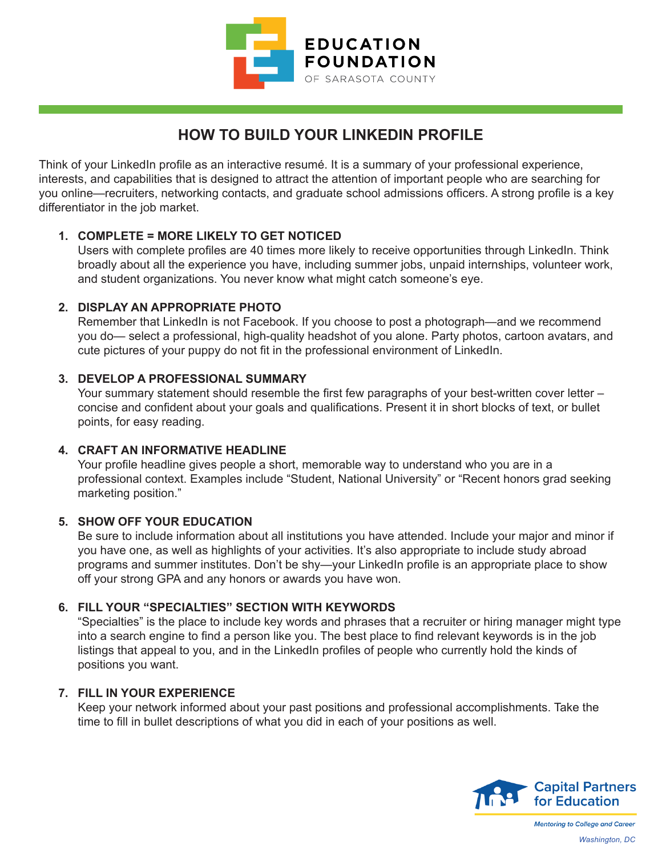

### **HOW TO BUILD YOUR LINKEDIN PROFILE**

Think of your LinkedIn profile as an interactive resumé. It is a summary of your professional experience, interests, and capabilities that is designed to attract the attention of important people who are searching for you online—recruiters, networking contacts, and graduate school admissions officers. A strong profile is a key differentiator in the job market.

### **1. COMPLETE = MORE LIKELY TO GET NOTICED**

Users with complete profiles are 40 times more likely to receive opportunities through LinkedIn. Think broadly about all the experience you have, including summer jobs, unpaid internships, volunteer work, and student organizations. You never know what might catch someone's eye.

### **2. DISPLAY AN APPROPRIATE PHOTO**

Remember that LinkedIn is not Facebook. If you choose to post a photograph—and we recommend you do— select a professional, high-quality headshot of you alone. Party photos, cartoon avatars, and cute pictures of your puppy do not fit in the professional environment of LinkedIn.

### **3. DEVELOP A PROFESSIONAL SUMMARY**

Your summary statement should resemble the first few paragraphs of your best-written cover letter – concise and confident about your goals and qualifications. Present it in short blocks of text, or bullet points, for easy reading.

### **4. CRAFT AN INFORMATIVE HEADLINE**

Your profile headline gives people a short, memorable way to understand who you are in a professional context. Examples include "Student, National University" or "Recent honors grad seeking marketing position."

### **5. SHOW OFF YOUR EDUCATION**

Be sure to include information about all institutions you have attended. Include your major and minor if you have one, as well as highlights of your activities. It's also appropriate to include study abroad programs and summer institutes. Don't be shy—your LinkedIn profile is an appropriate place to show off your strong GPA and any honors or awards you have won.

### **6. FILL YOUR "SPECIALTIES" SECTION WITH KEYWORDS**

"Specialties" is the place to include key words and phrases that a recruiter or hiring manager might type into a search engine to find a person like you. The best place to find relevant keywords is in the job listings that appeal to you, and in the LinkedIn profiles of people who currently hold the kinds of positions you want.

### **7. FILL IN YOUR EXPERIENCE**

Keep your network informed about your past positions and professional accomplishments. Take the time to fill in bullet descriptions of what you did in each of your positions as well.

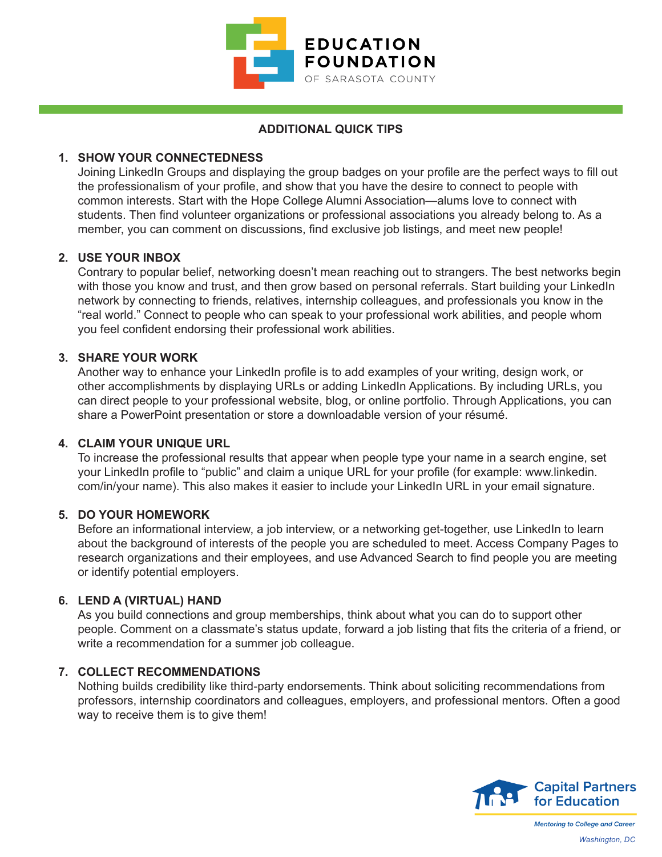

#### **ADDITIONAL QUICK TIPS**

### **1. SHOW YOUR CONNECTEDNESS**

Joining LinkedIn Groups and displaying the group badges on your profile are the perfect ways to fill out the professionalism of your profile, and show that you have the desire to connect to people with common interests. Start with the Hope College Alumni Association—alums love to connect with students. Then find volunteer organizations or professional associations you already belong to. As a member, you can comment on discussions, find exclusive job listings, and meet new people!

### **2. USE YOUR INBOX**

Contrary to popular belief, networking doesn't mean reaching out to strangers. The best networks begin with those you know and trust, and then grow based on personal referrals. Start building your LinkedIn network by connecting to friends, relatives, internship colleagues, and professionals you know in the "real world." Connect to people who can speak to your professional work abilities, and people whom you feel confident endorsing their professional work abilities.

### **3. SHARE YOUR WORK**

Another way to enhance your LinkedIn profile is to add examples of your writing, design work, or other accomplishments by displaying URLs or adding LinkedIn Applications. By including URLs, you can direct people to your professional website, blog, or online portfolio. Through Applications, you can share a PowerPoint presentation or store a downloadable version of your résumé.

### **4. CLAIM YOUR UNIQUE URL**

To increase the professional results that appear when people type your name in a search engine, set your LinkedIn profile to "public" and claim a unique URL for your profile (for example: www.linkedin. com/in/your name). This also makes it easier to include your LinkedIn URL in your email signature.

### **5. DO YOUR HOMEWORK**

Before an informational interview, a job interview, or a networking get-together, use LinkedIn to learn about the background of interests of the people you are scheduled to meet. Access Company Pages to research organizations and their employees, and use Advanced Search to find people you are meeting or identify potential employers.

### **6. LEND A (VIRTUAL) HAND**

As you build connections and group memberships, think about what you can do to support other people. Comment on a classmate's status update, forward a job listing that fits the criteria of a friend, or write a recommendation for a summer job colleague.

### **7. COLLECT RECOMMENDATIONS**

Nothing builds credibility like third-party endorsements. Think about soliciting recommendations from professors, internship coordinators and colleagues, employers, and professional mentors. Often a good way to receive them is to give them!